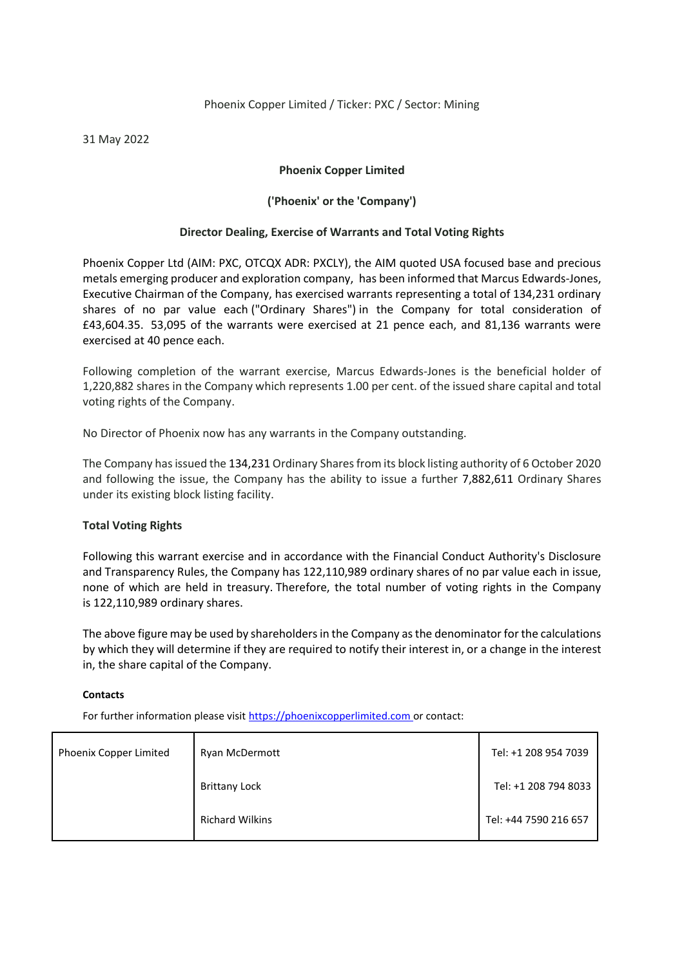### Phoenix Copper Limited / Ticker: PXC / Sector: Mining

31 May 2022

## **Phoenix Copper Limited**

# **('Phoenix' or the 'Company')**

### **Director Dealing, Exercise of Warrants and Total Voting Rights**

Phoenix Copper Ltd (AIM: PXC, OTCQX ADR: PXCLY), the AIM quoted USA focused base and precious metals emerging producer and exploration company, has been informed that Marcus Edwards-Jones, Executive Chairman of the Company, has exercised warrants representing a total of 134,231 ordinary shares of no par value each ("Ordinary Shares") in the Company for total consideration of £43,604.35. 53,095 of the warrants were exercised at 21 pence each, and 81,136 warrants were exercised at 40 pence each.

Following completion of the warrant exercise, Marcus Edwards-Jones is the beneficial holder of 1,220,882 shares in the Company which represents 1.00 per cent. of the issued share capital and total voting rights of the Company.

No Director of Phoenix now has any warrants in the Company outstanding.

The Company has issued the 134,231 Ordinary Shares from its block listing authority of 6 October 2020 and following the issue, the Company has the ability to issue a further 7,882,611 Ordinary Shares under its existing block listing facility.

### **Total Voting Rights**

Following this warrant exercise and in accordance with the Financial Conduct Authority's Disclosure and Transparency Rules, the Company has 122,110,989 ordinary shares of no par value each in issue, none of which are held in treasury. Therefore, the total number of voting rights in the Company is 122,110,989 ordinary shares.

The above figure may be used by shareholders in the Company as the denominator for the calculations by which they will determine if they are required to notify their interest in, or a change in the interest in, the share capital of the Company.

### **Contacts**

For further information please visit [https://phoenixcopperlimited.com](https://phoenixcopperlimited.com/) or contact:

| Phoenix Copper Limited | Ryan McDermott         | Tel: +1 208 954 7039  |
|------------------------|------------------------|-----------------------|
|                        | <b>Brittany Lock</b>   | Tel: +1 208 794 8033  |
|                        | <b>Richard Wilkins</b> | Tel: +44 7590 216 657 |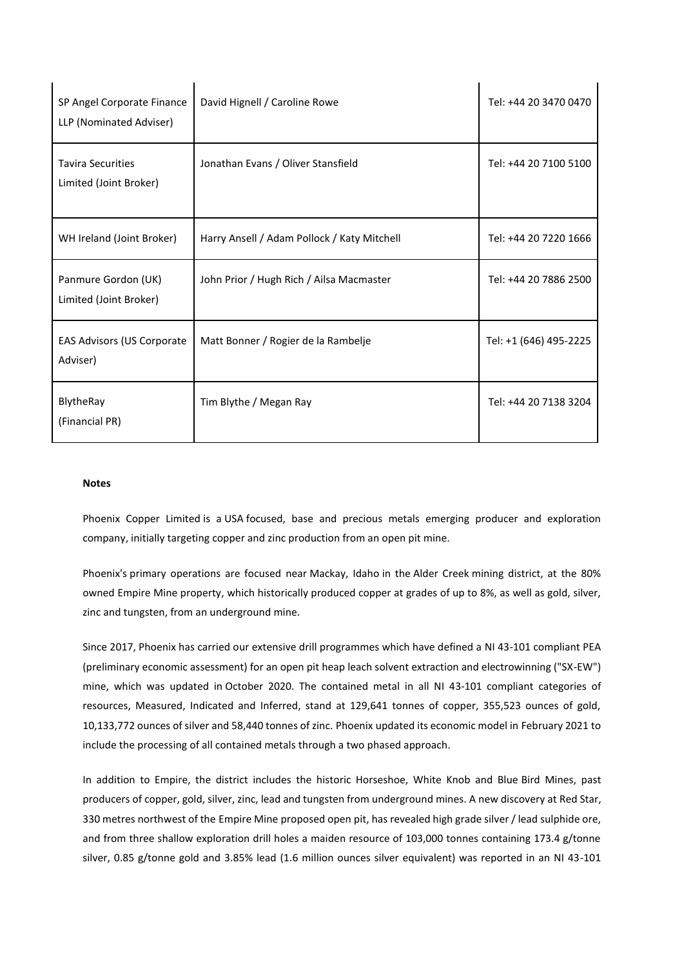| SP Angel Corporate Finance<br>LLP (Nominated Adviser) | David Hignell / Caroline Rowe               | Tel: +44 20 3470 0470  |
|-------------------------------------------------------|---------------------------------------------|------------------------|
| <b>Tavira Securities</b><br>Limited (Joint Broker)    | Jonathan Evans / Oliver Stansfield          | Tel: +44 20 7100 5100  |
| WH Ireland (Joint Broker)                             | Harry Ansell / Adam Pollock / Katy Mitchell | Tel: +44 20 7220 1666  |
| Panmure Gordon (UK)<br>Limited (Joint Broker)         | John Prior / Hugh Rich / Ailsa Macmaster    | Tel: +44 20 7886 2500  |
| EAS Advisors (US Corporate<br>Adviser)                | Matt Bonner / Rogier de la Rambelje         | Tel: +1 (646) 495-2225 |
| BlytheRay<br>(Financial PR)                           | Tim Blythe / Megan Ray                      | Tel: +44 20 7138 3204  |

 $\mathbf{I}$ 

 $\mathbf{r}$ 

#### **Notes**

 $\mathbf{r}$ 

 $\mathbf{I}$ 

Phoenix Copper Limited is a USA focused, base and precious metals emerging producer and exploration company, initially targeting copper and zinc production from an open pit mine.

Phoenix's primary operations are focused near Mackay, Idaho in the Alder Creek mining district, at the 80% owned Empire Mine property, which historically produced copper at grades of up to 8%, as well as gold, silver, zinc and tungsten, from an underground mine.

Since 2017, Phoenix has carried our extensive drill programmes which have defined a NI 43-101 compliant PEA (preliminary economic assessment) for an open pit heap leach solvent extraction and electrowinning ("SX-EW") mine, which was updated in October 2020. The contained metal in all NI 43-101 compliant categories of resources, Measured, Indicated and Inferred, stand at 129,641 tonnes of copper, 355,523 ounces of gold, 10,133,772 ounces of silver and 58,440 tonnes of zinc. Phoenix updated its economic model in February 2021 to include the processing of all contained metals through a two phased approach.

In addition to Empire, the district includes the historic Horseshoe, White Knob and Blue Bird Mines, past producers of copper, gold, silver, zinc, lead and tungsten from underground mines. A new discovery at Red Star, 330 metres northwest of the Empire Mine proposed open pit, has revealed high grade silver / lead sulphide ore, and from three shallow exploration drill holes a maiden resource of 103,000 tonnes containing 173.4 g/tonne silver, 0.85 g/tonne gold and 3.85% lead (1.6 million ounces silver equivalent) was reported in an NI 43-101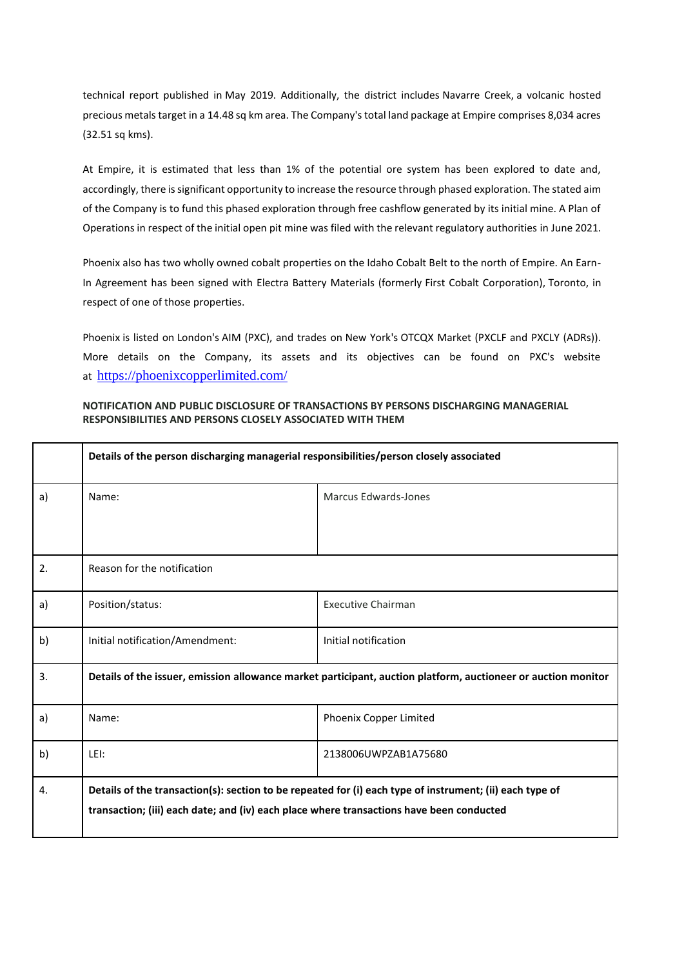technical report published in May 2019. Additionally, the district includes Navarre Creek, a volcanic hosted precious metals target in a 14.48 sq km area. The Company's total land package at Empire comprises 8,034 acres (32.51 sq kms).

At Empire, it is estimated that less than 1% of the potential ore system has been explored to date and, accordingly, there is significant opportunity to increase the resource through phased exploration. The stated aim of the Company is to fund this phased exploration through free cashflow generated by its initial mine. A Plan of Operations in respect of the initial open pit mine was filed with the relevant regulatory authorities in June 2021.

Phoenix also has two wholly owned cobalt properties on the Idaho Cobalt Belt to the north of Empire. An Earn-In Agreement has been signed with Electra Battery Materials (formerly First Cobalt Corporation), Toronto, in respect of one of those properties.

Phoenix is listed on London's AIM (PXC), and trades on New York's OTCQX Market (PXCLF and PXCLY (ADRs)). More details on the Company, its assets and its objectives can be found on PXC's website at <https://phoenixcopperlimited.com/>

#### **NOTIFICATION AND PUBLIC DISCLOSURE OF TRANSACTIONS BY PERSONS DISCHARGING MANAGERIAL RESPONSIBILITIES AND PERSONS CLOSELY ASSOCIATED WITH THEM**

|    | Details of the person discharging managerial responsibilities/person closely associated                       |                           |  |
|----|---------------------------------------------------------------------------------------------------------------|---------------------------|--|
| a) | Name:                                                                                                         | Marcus Edwards-Jones      |  |
|    |                                                                                                               |                           |  |
| 2. | Reason for the notification                                                                                   |                           |  |
| a) | Position/status:                                                                                              | <b>Executive Chairman</b> |  |
| b) | Initial notification/Amendment:                                                                               | Initial notification      |  |
| 3. | Details of the issuer, emission allowance market participant, auction platform, auctioneer or auction monitor |                           |  |
| a) | Name:                                                                                                         | Phoenix Copper Limited    |  |
| b) | LEI:                                                                                                          | 2138006UWPZAB1A75680      |  |
| 4. | Details of the transaction(s): section to be repeated for (i) each type of instrument; (ii) each type of      |                           |  |
|    | transaction; (iii) each date; and (iv) each place where transactions have been conducted                      |                           |  |